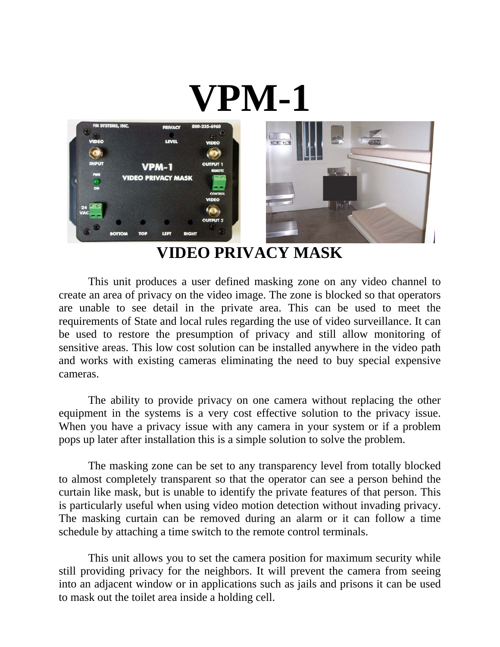

**VIDEO PRIVACY MASK**

This unit produces a user defined masking zone on any video channel to create an area of privacy on the video image. The zone is blocked so that operators are unable to see detail in the private area. This can be used to meet the requirements of State and local rules regarding the use of video surveillance. It can be used to restore the presumption of privacy and still allow monitoring of sensitive areas. This low cost solution can be installed anywhere in the video path and works with existing cameras eliminating the need to buy special expensive cameras.

The ability to provide privacy on one camera without replacing the other equipment in the systems is a very cost effective solution to the privacy issue. When you have a privacy issue with any camera in your system or if a problem pops up later after installation this is a simple solution to solve the problem.

The masking zone can be set to any transparency level from totally blocked to almost completely transparent so that the operator can see a person behind the curtain like mask, but is unable to identify the private features of that person. This is particularly useful when using video motion detection without invading privacy. The masking curtain can be removed during an alarm or it can follow a time schedule by attaching a time switch to the remote control terminals.

 This unit allows you to set the camera position for maximum security while still providing privacy for the neighbors. It will prevent the camera from seeing into an adjacent window or in applications such as jails and prisons it can be used to mask out the toilet area inside a holding cell.